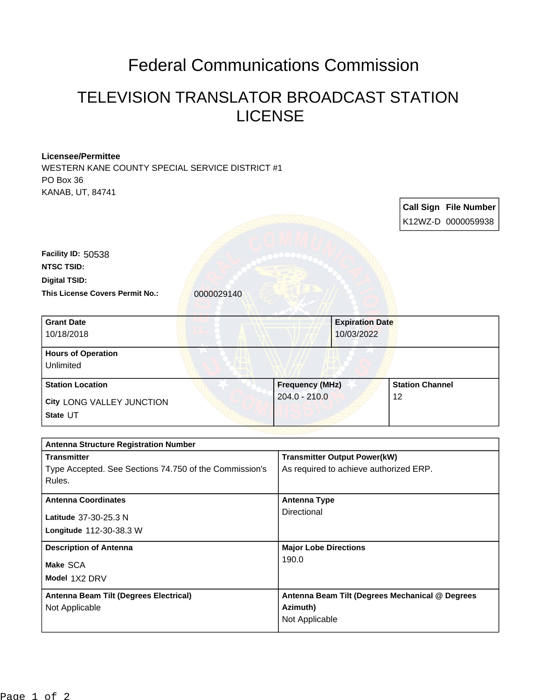## Federal Communications Commission

## TELEVISION TRANSLATOR BROADCAST STATION LICENSE

## **Licensee/Permittee**

WESTERN KANE COUNTY SPECIAL SERVICE DISTRICT #1 PO Box 36 KANAB, UT, 84741

|                                                                  |                 |                                                                               |         | <b>Call Sign File Number</b> |
|------------------------------------------------------------------|-----------------|-------------------------------------------------------------------------------|---------|------------------------------|
|                                                                  |                 |                                                                               |         | K12WZ-D 0000059938           |
|                                                                  |                 |                                                                               |         |                              |
| Facility ID: 50538                                               |                 |                                                                               |         |                              |
| <b>NTSC TSID:</b>                                                |                 |                                                                               |         |                              |
| <b>Digital TSID:</b>                                             |                 |                                                                               |         |                              |
| <b>This License Covers Permit No.:</b><br>0000029140             |                 |                                                                               |         |                              |
| <b>Grant Date</b>                                                |                 | <b>Expiration Date</b>                                                        |         |                              |
| 10/18/2018                                                       |                 | 10/03/2022                                                                    |         |                              |
| <b>Hours of Operation</b><br>Unlimited                           |                 |                                                                               |         |                              |
| <b>Station Location</b>                                          |                 | Frequency (MHz)                                                               |         | <b>Station Channel</b>       |
| City LONG VALLEY JUNCTION                                        | $204.0 - 210.0$ |                                                                               | $12 \,$ |                              |
| State UT                                                         |                 |                                                                               |         |                              |
|                                                                  |                 |                                                                               |         |                              |
| <b>Antenna Structure Registration Number</b>                     |                 |                                                                               |         |                              |
| <b>Transmitter</b>                                               |                 | <b>Transmitter Output Power(kW)</b><br>As required to achieve authorized ERP. |         |                              |
| Type Accepted. See Sections 74.750 of the Commission's<br>Rules. |                 |                                                                               |         |                              |
| <b>Antenna Coordinates</b>                                       |                 | <b>Antenna Type</b>                                                           |         |                              |
| Latitude 37-30-25.3 N                                            | Directional     |                                                                               |         |                              |
| Longitude 112-30-38.3 W                                          |                 |                                                                               |         |                              |
| <b>Description of Antenna</b>                                    |                 | <b>Major Lobe Directions</b>                                                  |         |                              |
| Make SCA                                                         |                 | 190.0                                                                         |         |                              |
| Model 1X2 DRV                                                    |                 |                                                                               |         |                              |
| Antenna Beam Tilt (Degrees Electrical)                           |                 | Antenna Beam Tilt (Degrees Mechanical @ Degrees                               |         |                              |
| Not Applicable                                                   | Azimuth)        |                                                                               |         |                              |
|                                                                  | Not Applicable  |                                                                               |         |                              |